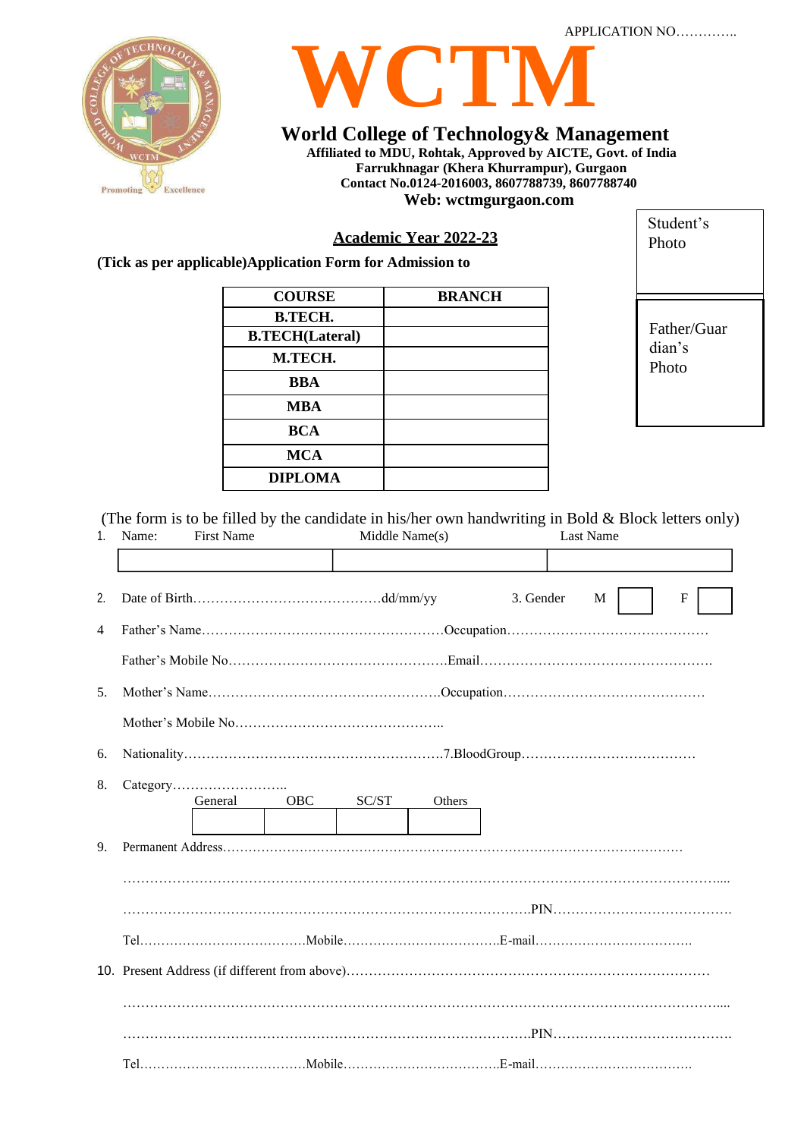



# **World College of Technology& Management**

**Affiliated to MDU, Rohtak, Approved by AICTE, Govt. of India Farrukhnagar (Khera Khurrampur), Gurgaon Contact No.0124-2016003, 8607788739, 8607788740 Web: wctmgurgaon.com**

## **Academic Year 2022-23**

**(Tick as per applicable)Application Form for Admission to**

| <b>COURSE</b>          | <b>BRANCH</b> |
|------------------------|---------------|
| <b>B.TECH.</b>         |               |
| <b>B.TECH(Lateral)</b> |               |
| M.TECH.                |               |
| <b>BBA</b>             |               |
| <b>MBA</b>             |               |
| <b>BCA</b>             |               |
| <b>MCA</b>             |               |
| <b>DIPLOMA</b>         |               |

Father/Guar dian's Photo

Student's Photo

(The form is to be filled by the candidate in his/her own handwriting in Bold & Block letters only)

| 1.             | Name: | <b>First Name</b> |            | Middle Name(s) |        |           | <b>Last Name</b> |   |  |
|----------------|-------|-------------------|------------|----------------|--------|-----------|------------------|---|--|
|                |       |                   |            |                |        |           |                  |   |  |
| 2.             |       |                   |            |                |        | 3. Gender | M                | F |  |
| $\overline{4}$ |       |                   |            |                |        |           |                  |   |  |
|                |       |                   |            |                |        |           |                  |   |  |
| 5 <sub>1</sub> |       |                   |            |                |        |           |                  |   |  |
|                |       |                   |            |                |        |           |                  |   |  |
| 6.             |       |                   |            |                |        |           |                  |   |  |
| 8.             |       |                   |            |                |        |           |                  |   |  |
|                |       | General           | <b>OBC</b> | SC/ST          | Others |           |                  |   |  |
| 9.             |       |                   |            |                |        |           |                  |   |  |
|                |       |                   |            |                |        |           |                  |   |  |
|                |       |                   |            |                |        |           |                  |   |  |
|                |       |                   |            |                |        |           |                  |   |  |
|                |       |                   |            |                |        |           |                  |   |  |
|                |       |                   |            |                |        |           |                  |   |  |
|                |       |                   |            |                |        |           |                  |   |  |
|                |       |                   |            |                |        |           |                  |   |  |
|                |       |                   |            |                |        |           |                  |   |  |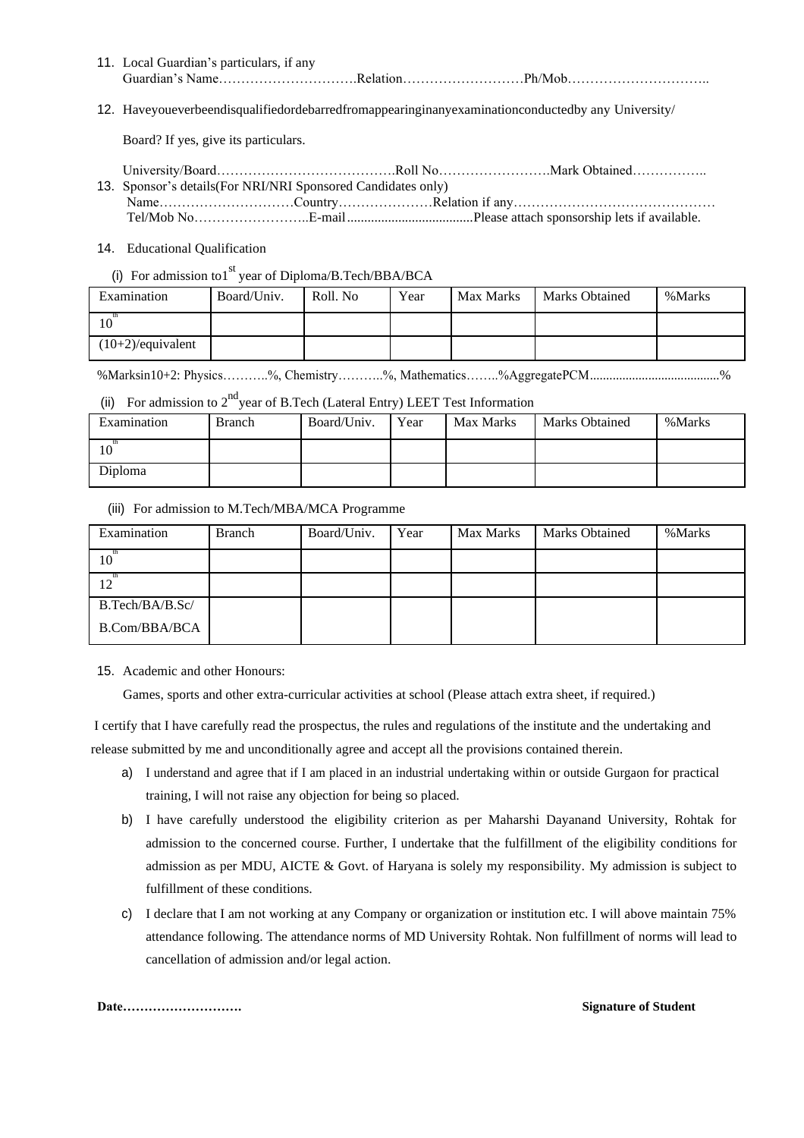- 11. Local Guardian's particulars, if any Guardian's Name………………………….Relation………………………Ph/Mob…………………………..
- 12. Haveyoueverbeendisqualifiedordebarredfromappearinginanyexaminationconductedby any University/

Board? If yes, give its particulars.

- University/Board………………………………….Roll No…………………….Mark Obtained…………….. 13. Sponsor's details(For NRI/NRI Sponsored Candidates only)
- Name…………………………Country…………………Relation if any……………………………………… Tel/Mob No……………………..E-mail.....................................Please attach sponsorship lets if available.
- 14. Educational Qualification
	- (i) For admission to  $1<sup>st</sup>$  year of Diploma/B.Tech/BBA/BCA

| Examination          | Board/Univ. | Roll, No | Year | <b>Max Marks</b> | <b>Marks Obtained</b> | %Marks |
|----------------------|-------------|----------|------|------------------|-----------------------|--------|
| 10                   |             |          |      |                  |                       |        |
| $(10+2)/$ equivalent |             |          |      |                  |                       |        |

%Marksin10+2: Physics………..%, Chemistry………..%, Mathematics……..%AggregatePCM........................................%

(ii) For admission to  $2^{nd}$  year of B.Tech (Lateral Entry) LEET Test Information

| Examination | Branch | Board/Univ. | Year | Max Marks | <b>Marks Obtained</b> | %Marks |
|-------------|--------|-------------|------|-----------|-----------------------|--------|
| 10          |        |             |      |           |                       |        |
| Diploma     |        |             |      |           |                       |        |

#### (iii) For admission to M.Tech/MBA/MCA Programme

| Examination     | Branch | Board/Univ. | Year | Max Marks | Marks Obtained | %Marks |
|-----------------|--------|-------------|------|-----------|----------------|--------|
| 10              |        |             |      |           |                |        |
|                 |        |             |      |           |                |        |
| B.Tech/BA/B.Sc/ |        |             |      |           |                |        |
| B.Com/BBA/BCA   |        |             |      |           |                |        |

15. Academic and other Honours:

Games, sports and other extra-curricular activities at school (Please attach extra sheet, if required.)

I certify that I have carefully read the prospectus, the rules and regulations of the institute and the undertaking and release submitted by me and unconditionally agree and accept all the provisions contained therein.

- a) I understand and agree that if I am placed in an industrial undertaking within or outside Gurgaon for practical training, I will not raise any objection for being so placed.
- b) I have carefully understood the eligibility criterion as per Maharshi Dayanand University, Rohtak for admission to the concerned course. Further, I undertake that the fulfillment of the eligibility conditions for admission as per MDU, AICTE & Govt. of Haryana is solely my responsibility. My admission is subject to fulfillment of these conditions.
- c) I declare that I am not working at any Company or organization or institution etc. I will above maintain 75% attendance following. The attendance norms of MD University Rohtak. Non fulfillment of norms will lead to cancellation of admission and/or legal action.

**Date………………………. Signature of Student**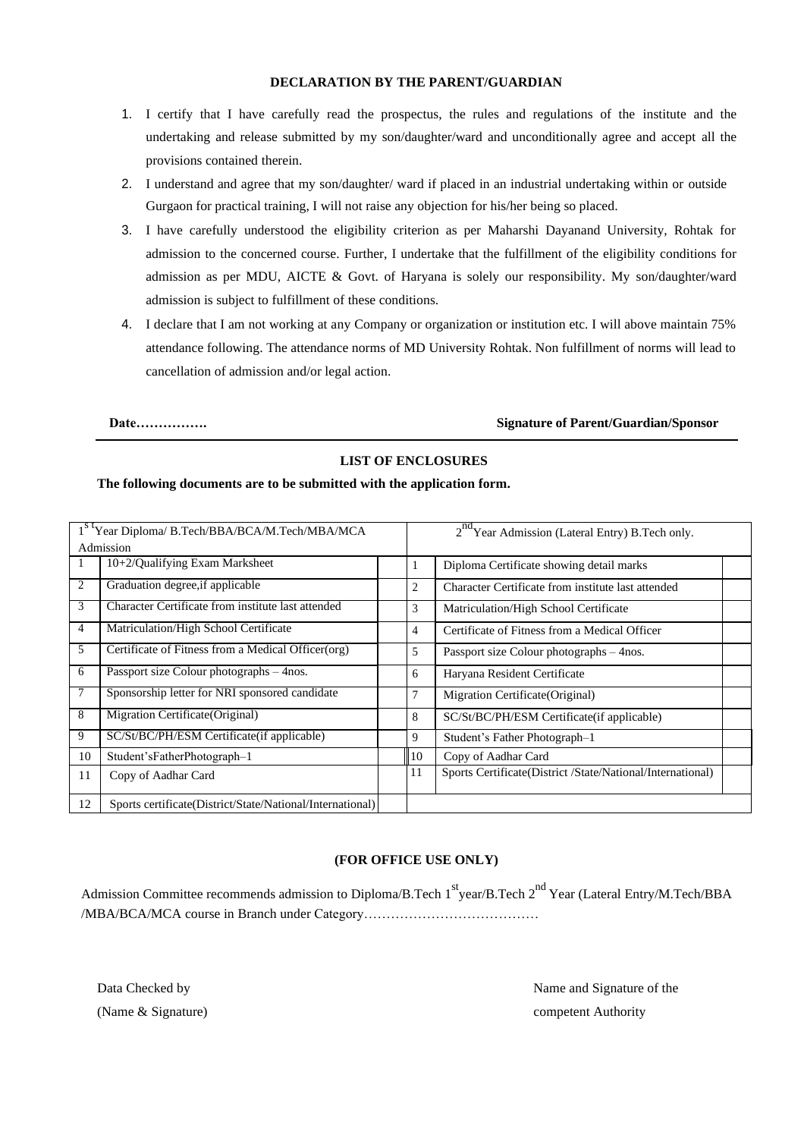#### **DECLARATION BY THE PARENT/GUARDIAN**

- 1. I certify that I have carefully read the prospectus, the rules and regulations of the institute and the undertaking and release submitted by my son/daughter/ward and unconditionally agree and accept all the provisions contained therein.
- 2. I understand and agree that my son/daughter/ ward if placed in an industrial undertaking within or outside Gurgaon for practical training, I will not raise any objection for his/her being so placed.
- 3. I have carefully understood the eligibility criterion as per Maharshi Dayanand University, Rohtak for admission to the concerned course. Further, I undertake that the fulfillment of the eligibility conditions for admission as per MDU, AICTE & Govt. of Haryana is solely our responsibility. My son/daughter/ward admission is subject to fulfillment of these conditions.
- 4. I declare that I am not working at any Company or organization or institution etc. I will above maintain 75% attendance following. The attendance norms of MD University Rohtak. Non fulfillment of norms will lead to cancellation of admission and/or legal action.

#### **Date……………. Signature of Parent/Guardian/Sponsor**

### **LIST OF ENCLOSURES**

#### **The following documents are to be submitted with the application form.**

| 1 <sup>st</sup> Year Diploma/ B.Tech/BBA/BCA/M.Tech/MBA/MCA |                                                           |                | 2 <sup>nd</sup> Year Admission (Lateral Entry) B.Tech only. |  |  |  |
|-------------------------------------------------------------|-----------------------------------------------------------|----------------|-------------------------------------------------------------|--|--|--|
| Admission                                                   |                                                           |                |                                                             |  |  |  |
|                                                             | $10+2$ /Qualifying Exam Marksheet                         | 1              | Diploma Certificate showing detail marks                    |  |  |  |
| 2                                                           | Graduation degree, if applicable                          | 2              | Character Certificate from institute last attended          |  |  |  |
| 3                                                           | Character Certificate from institute last attended        | 3              | Matriculation/High School Certificate                       |  |  |  |
| 4                                                           | Matriculation/High School Certificate                     | 4              | Certificate of Fitness from a Medical Officer               |  |  |  |
| 5                                                           | Certificate of Fitness from a Medical Officer (org)       | 5              | Passport size Colour photographs – 4nos.                    |  |  |  |
| 6                                                           | Passport size Colour photographs – 4nos.                  | 6              | Haryana Resident Certificate                                |  |  |  |
|                                                             | Sponsorship letter for NRI sponsored candidate            | 7              | Migration Certificate (Original)                            |  |  |  |
| 8                                                           | Migration Certificate (Original)                          | 8              | SC/St/BC/PH/ESM Certificate(if applicable)                  |  |  |  |
| 9                                                           | SC/St/BC/PH/ESM Certificate(if applicable)                | 9              | Student's Father Photograph-1                               |  |  |  |
| 10                                                          | Student'sFatherPhotograph-1                               | $\parallel$ 10 | Copy of Aadhar Card                                         |  |  |  |
| 11                                                          | Copy of Aadhar Card                                       | 11             | Sports Certificate(District /State/National/International)  |  |  |  |
| 12                                                          | Sports certificate(District/State/National/International) |                |                                                             |  |  |  |

#### **(FOR OFFICE USE ONLY)**

Admission Committee recommends admission to Diploma/B.Tech 1<sup>st</sup>year/B.Tech 2<sup>nd</sup> Year (Lateral Entry/M.Tech/BBA /MBA/BCA/MCA course in Branch under Category…………………………………

| Data Checked by    |  |
|--------------------|--|
| (Name & Signature) |  |

Name and Signature of the competent Authority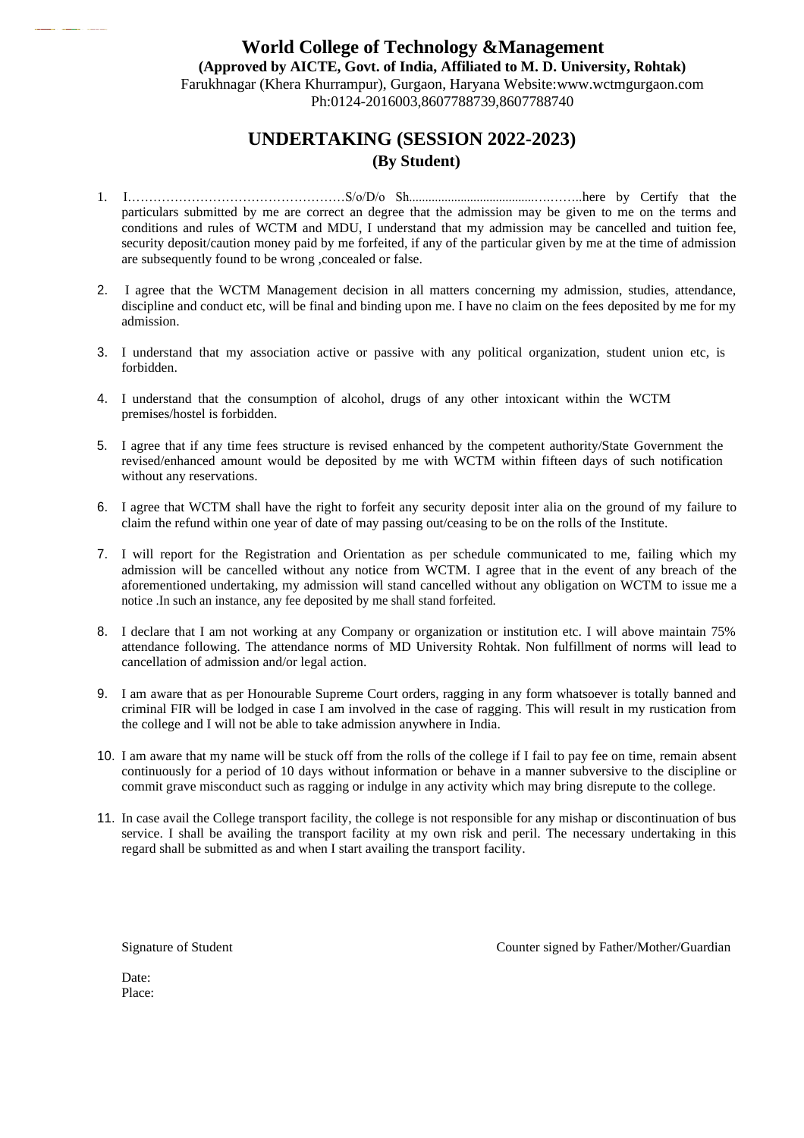## **World College of Technology &Management (Approved by AICTE, Govt. of India, Affiliated to M. D. University, Rohtak)** Farukhnagar (Khera Khurrampur), Gurgaon, Haryana Website[:www.wctmgurgaon.com](http://www.wctmgurgaon.com/) Ph:0124-2016003,8607788739,8607788740

## **UNDERTAKING (SESSION 2022-2023) (By Student)**

- 1. I……………………………………………S/o/D/o Sh.......................................….……..here by Certify that the particulars submitted by me are correct an degree that the admission may be given to me on the terms and conditions and rules of WCTM and MDU, I understand that my admission may be cancelled and tuition fee, security deposit/caution money paid by me forfeited, if any of the particular given by me at the time of admission are subsequently found to be wrong ,concealed or false.
- 2. I agree that the WCTM Management decision in all matters concerning my admission, studies, attendance, discipline and conduct etc, will be final and binding upon me. I have no claim on the fees deposited by me for my admission.
- 3. I understand that my association active or passive with any political organization, student union etc, is forbidden.
- 4. I understand that the consumption of alcohol, drugs of any other intoxicant within the WCTM premises/hostel is forbidden.
- 5. I agree that if any time fees structure is revised enhanced by the competent authority/State Government the revised/enhanced amount would be deposited by me with WCTM within fifteen days of such notification without any reservations.
- 6. I agree that WCTM shall have the right to forfeit any security deposit inter alia on the ground of my failure to claim the refund within one year of date of may passing out/ceasing to be on the rolls of the Institute.
- 7. I will report for the Registration and Orientation as per schedule communicated to me, failing which my admission will be cancelled without any notice from WCTM. I agree that in the event of any breach of the aforementioned undertaking, my admission will stand cancelled without any obligation on WCTM to issue me a notice .In such an instance, any fee deposited by me shall stand forfeited.
- 8. I declare that I am not working at any Company or organization or institution etc. I will above maintain 75% attendance following. The attendance norms of MD University Rohtak. Non fulfillment of norms will lead to cancellation of admission and/or legal action.
- 9. I am aware that as per Honourable Supreme Court orders, ragging in any form whatsoever is totally banned and criminal FIR will be lodged in case I am involved in the case of ragging. This will result in my rustication from the college and I will not be able to take admission anywhere in India.
- 10. I am aware that my name will be stuck off from the rolls of the college if I fail to pay fee on time, remain absent continuously for a period of 10 days without information or behave in a manner subversive to the discipline or commit grave misconduct such as ragging or indulge in any activity which may bring disrepute to the college.
- 11. In case avail the College transport facility, the college is not responsible for any mishap or discontinuation of bus service. I shall be availing the transport facility at my own risk and peril. The necessary undertaking in this regard shall be submitted as and when I start availing the transport facility.

Signature of Student

Counter signed by Father/Mother/Guardian

| Date:  |  |
|--------|--|
| Place: |  |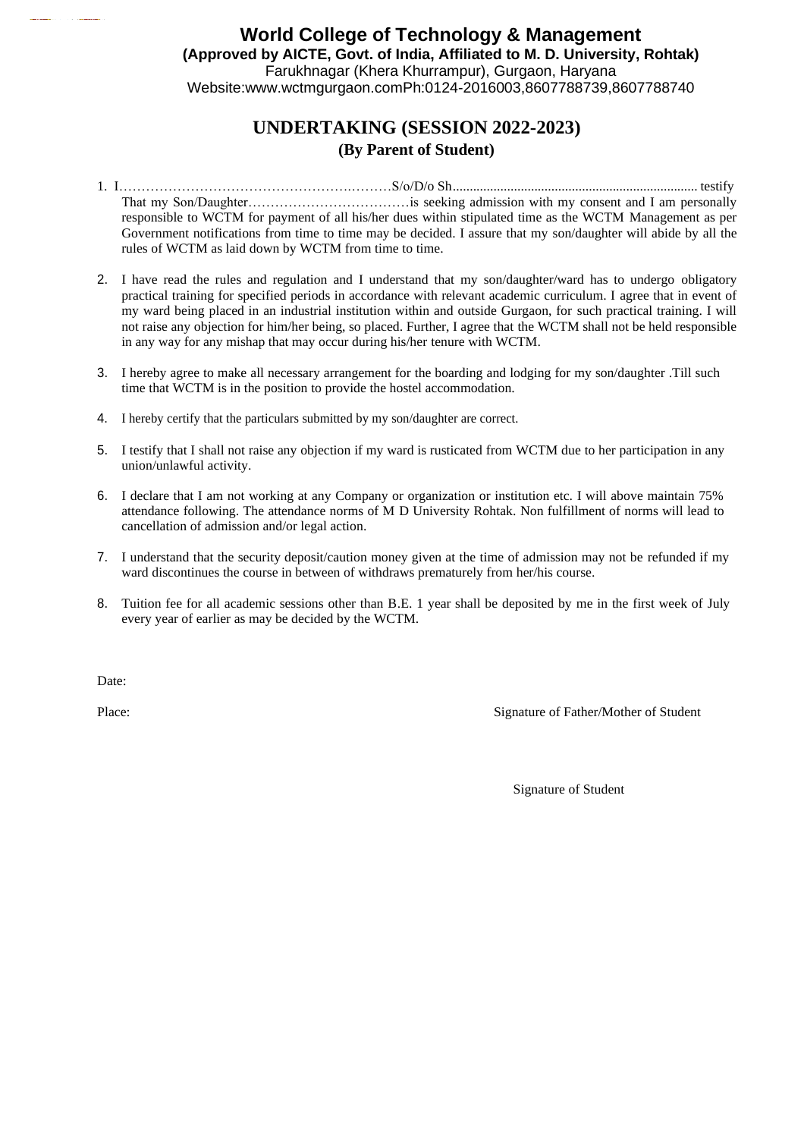## **World College of Technology & Management (Approved by AICTE, Govt. of India, Affiliated to M. D. University, Rohtak)**  Farukhnagar (Khera Khurrampur), Gurgaon, Haryana Website[:www.wctmgurgaon.comP](http://www.wctmgurgaon.com/)h:0124-2016003,8607788739,8607788740

# **UNDERTAKING (SESSION 2022-2023) (By Parent of Student)**

- 1. I…………………………………………….………S/o/D/o Sh........................................................................ testify That my Son/Daughter………………………………is seeking admission with my consent and I am personally responsible to WCTM for payment of all his/her dues within stipulated time as the WCTM Management as per Government notifications from time to time may be decided. I assure that my son/daughter will abide by all the rules of WCTM as laid down by WCTM from time to time.
- 2. I have read the rules and regulation and I understand that my son/daughter/ward has to undergo obligatory practical training for specified periods in accordance with relevant academic curriculum. I agree that in event of my ward being placed in an industrial institution within and outside Gurgaon, for such practical training. I will not raise any objection for him/her being, so placed. Further, I agree that the WCTM shall not be held responsible in any way for any mishap that may occur during his/her tenure with WCTM.
- 3. I hereby agree to make all necessary arrangement for the boarding and lodging for my son/daughter .Till such time that WCTM is in the position to provide the hostel accommodation.
- 4. I hereby certify that the particulars submitted by my son/daughter are correct.
- 5. I testify that I shall not raise any objection if my ward is rusticated from WCTM due to her participation in any union/unlawful activity.
- 6. I declare that I am not working at any Company or organization or institution etc. I will above maintain 75% attendance following. The attendance norms of M D University Rohtak. Non fulfillment of norms will lead to cancellation of admission and/or legal action.
- 7. I understand that the security deposit/caution money given at the time of admission may not be refunded if my ward discontinues the course in between of withdraws prematurely from her/his course.
- 8. Tuition fee for all academic sessions other than B.E. 1 year shall be deposited by me in the first week of July every year of earlier as may be decided by the WCTM.

Date:

Place: Signature of Father/Mother of Student

Signature of Student